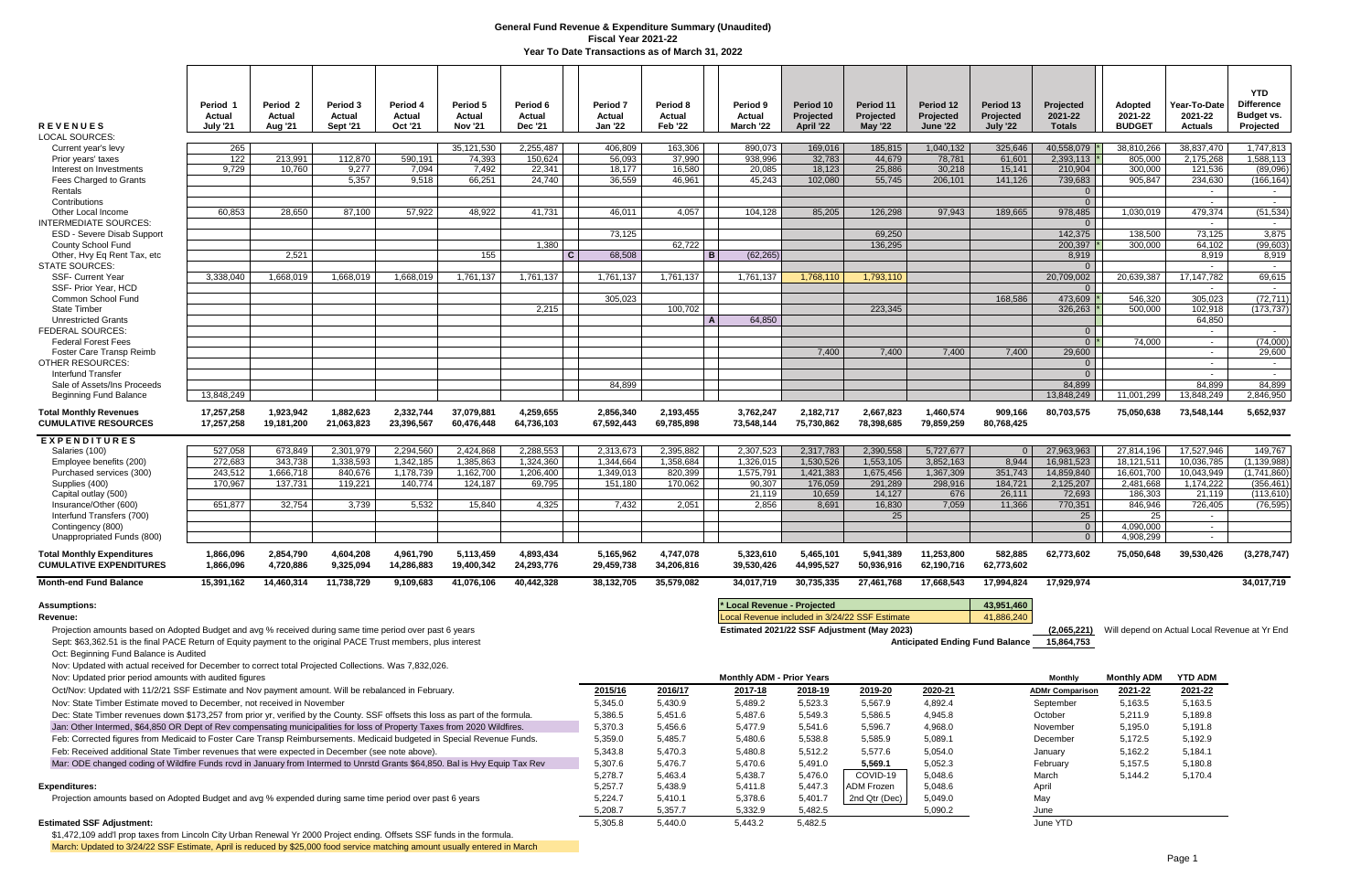| <b>REVENUES</b><br><b>LOCAL SOURCES:</b>                                                                                                                                                                                                                   | Period 1<br>Actual<br>July '21 | Period 2<br>Actual<br><b>Aug '21</b> | Period 3<br><b>Actual</b><br><b>Sept '21</b> | Period 4<br>Actual<br>Oct '21 | Period 5<br>Actual<br><b>Nov '21</b> | Period 6<br>Actual<br><b>Dec '21</b> |              | Period <sub>7</sub><br>Actual<br><b>Jan '22</b> | Period 8<br>Actual<br><b>Feb '22</b> |                | Period 9<br>Actual<br>March '22  | Period 10<br>Projected<br>April '22 | Period 11<br>Projected<br><b>May '22</b>       | Period 12<br>Projected<br><b>June '22</b> | Period 13<br>Projected<br><b>July '22</b>  | Projected<br>2021-22<br><b>Totals</b> | <b>Adopted</b><br>2021-22<br><b>BUDGET</b>    | Year-To-Date<br>2021-22<br><b>Actuals</b> | <b>YTD</b><br><b>Difference</b><br>Budget vs.<br>Projected |
|------------------------------------------------------------------------------------------------------------------------------------------------------------------------------------------------------------------------------------------------------------|--------------------------------|--------------------------------------|----------------------------------------------|-------------------------------|--------------------------------------|--------------------------------------|--------------|-------------------------------------------------|--------------------------------------|----------------|----------------------------------|-------------------------------------|------------------------------------------------|-------------------------------------------|--------------------------------------------|---------------------------------------|-----------------------------------------------|-------------------------------------------|------------------------------------------------------------|
| Current year's levy                                                                                                                                                                                                                                        | 265                            |                                      |                                              |                               | 35,121,530                           | 2,255,487                            |              | 406,809                                         | 163,306                              |                | 890,073                          | 169,016                             | 185,815                                        | 1,040,132                                 | 325,646                                    | 40,558,079                            | 38,810,266                                    | 38,837,470                                | 1,747,813                                                  |
| Prior years' taxes                                                                                                                                                                                                                                         | 122                            | 213,991                              | 112,870                                      | 590,191                       | 74,393                               | 150,624                              |              | 56,093                                          | 37,990                               |                | 938,996                          | 32,783                              | 44,679                                         | 78,781                                    | 61,601                                     | 2,393,113                             | 805,000                                       | 2,175,268                                 | 1,588,113                                                  |
| Interest on Investments<br>Fees Charged to Grants                                                                                                                                                                                                          | 9,729                          | 10,760                               | 9,277<br>5,357                               | 7,094<br>9.518                | 7,492<br>66,251                      | 22,341<br>24,740                     |              | 18,177<br>36,559                                | 16,580<br>46,961                     |                | 20,085<br>45.243                 | 18,123<br>102.080                   | 25,886<br>55.745                               | 30,218<br>206,101                         | 15,141<br>141,126                          | 210,904<br>739,683                    | 300,000<br>905.847                            | 121,536<br>234,630                        | (89,096)<br>(166, 164)                                     |
| Rentals                                                                                                                                                                                                                                                    |                                |                                      |                                              |                               |                                      |                                      |              |                                                 |                                      |                |                                  |                                     |                                                |                                           |                                            | $\overline{0}$                        |                                               | $\sim$                                    | $\sim$ $-$                                                 |
| Contributions                                                                                                                                                                                                                                              |                                |                                      |                                              |                               |                                      |                                      |              |                                                 |                                      |                |                                  |                                     |                                                |                                           |                                            | $\overline{0}$                        |                                               | $\sim$                                    | $\sim$                                                     |
| Other Local Income<br><b>INTERMEDIATE SOURCES:</b>                                                                                                                                                                                                         | 60,853                         | 28,650                               | 87,100                                       | 57,922                        | 48,922                               | 41,731                               |              | 46.011                                          | 4,057                                |                | 104,128                          | 85,205                              | 126,298                                        | 97,943                                    | 189,665                                    | 978,485<br>$\overline{0}$             | 1,030,019                                     | 479,374<br>$\sim$                         | (51, 534)<br>$\sim 10^{-11}$                               |
| <b>ESD - Severe Disab Support</b>                                                                                                                                                                                                                          |                                |                                      |                                              |                               |                                      |                                      |              | 73,125                                          |                                      |                |                                  |                                     | 69,250                                         |                                           |                                            | 142,375                               | 138.500                                       | 73,125                                    | 3,875                                                      |
| <b>County School Fund</b><br>Other, Hvy Eq Rent Tax, etc                                                                                                                                                                                                   |                                | 2,521                                |                                              |                               | 155                                  | 1,380                                | $\mathbf{C}$ | 68,508                                          | 62,722                               | B              | (62, 265)                        |                                     | 136,295                                        |                                           |                                            | 200,397<br>8,919                      | 300,000                                       | 64,102<br>8,919                           | (99, 603)<br>8,919                                         |
| <b>STATE SOURCES:</b>                                                                                                                                                                                                                                      |                                |                                      |                                              |                               |                                      |                                      |              |                                                 |                                      |                |                                  |                                     |                                                |                                           |                                            | $\overline{0}$                        |                                               | $\sim$                                    | $\sim$                                                     |
| <b>SSF- Current Year</b>                                                                                                                                                                                                                                   | 3,338,040                      | 1,668,019                            | 1,668,019                                    | 1,668,019                     | 1,761,137                            | 1,761,137                            |              | 1,761,137                                       | 1,761,137                            |                | 1,761,137                        | 1,768,110                           | 1,793,110                                      |                                           |                                            | 20,709,002                            | 20,639,387                                    | 17, 147, 782                              | 69,615                                                     |
| SSF- Prior Year, HCD<br>Common School Fund                                                                                                                                                                                                                 |                                |                                      |                                              |                               |                                      |                                      |              | 305,023                                         |                                      |                |                                  |                                     |                                                |                                           | 168,586                                    | $\Omega$<br>473,609                   | 546,320                                       | $\sim$<br>305,023                         | $\sim$ $ \sim$<br>(72, 711)                                |
| <b>State Timber</b>                                                                                                                                                                                                                                        |                                |                                      |                                              |                               |                                      | 2,215                                |              |                                                 | 100,702                              |                |                                  |                                     | 223,345                                        |                                           |                                            | 326,263                               | 500.000                                       | 102,918                                   | (173, 737)                                                 |
| <b>Unrestricted Grants</b>                                                                                                                                                                                                                                 |                                |                                      |                                              |                               |                                      |                                      |              |                                                 |                                      | $\overline{A}$ | 64,850                           |                                     |                                                |                                           |                                            |                                       |                                               | 64,850                                    |                                                            |
| <b>FEDERAL SOURCES:</b><br><b>Federal Forest Fees</b>                                                                                                                                                                                                      |                                |                                      |                                              |                               |                                      |                                      |              |                                                 |                                      |                |                                  |                                     |                                                |                                           |                                            | $\overline{0}$<br>$0^*$               | 74.000                                        | $\sim$<br>$\sim$ $-$                      | $\sim$<br>(74,000)                                         |
| Foster Care Transp Reimb                                                                                                                                                                                                                                   |                                |                                      |                                              |                               |                                      |                                      |              |                                                 |                                      |                |                                  | 7.400                               | 7,400                                          | 7,400                                     | 7,400                                      | 29,600                                |                                               | $\sim$                                    | 29,600                                                     |
| <b>OTHER RESOURCES:</b><br>Interfund Transfer                                                                                                                                                                                                              |                                |                                      |                                              |                               |                                      |                                      |              |                                                 |                                      |                |                                  |                                     |                                                |                                           |                                            | $\overline{0}$<br>$\overline{0}$      |                                               | $\sim$<br>$\sim$                          | $\sim$<br>$\sim$                                           |
| Sale of Assets/Ins Proceeds                                                                                                                                                                                                                                |                                |                                      |                                              |                               |                                      |                                      |              | 84,899                                          |                                      |                |                                  |                                     |                                                |                                           |                                            | 84,899                                |                                               | 84,899                                    | 84,899                                                     |
| <b>Beginning Fund Balance</b>                                                                                                                                                                                                                              | 13,848,249                     |                                      |                                              |                               |                                      |                                      |              |                                                 |                                      |                |                                  |                                     |                                                |                                           |                                            | 13,848,249                            | 11,001,299                                    | 13,848,249                                | 2,846,950                                                  |
| <b>Total Monthly Revenues</b><br><b>CUMULATIVE RESOURCES</b>                                                                                                                                                                                               | 17,257,258<br>17,257,258       | 1,923,942<br>19,181,200              | 1,882,623<br>21,063,823                      | 2,332,744<br>23,396,567       | 37,079,881<br>60,476,448             | 4,259,655<br>64,736,103              |              | 2,856,340<br>67,592,443                         | 2,193,455<br>69,785,898              |                | 3,762,247<br>73,548,144          | 2,182,717<br>75,730,862             | 2,667,823<br>78,398,685                        | 1,460,574<br>79,859,259                   | 909,166<br>80,768,425                      | 80,703,575                            | 75,050,638                                    | 73,548,144                                | 5,652,937                                                  |
| <b>EXPENDITURES</b>                                                                                                                                                                                                                                        |                                |                                      |                                              |                               |                                      |                                      |              |                                                 |                                      |                |                                  |                                     |                                                |                                           |                                            |                                       |                                               |                                           |                                                            |
| Salaries (100)                                                                                                                                                                                                                                             | 527,058                        | 673,849                              | 2,301,979                                    | 2,294,560                     | 2,424,868                            | 2,288,553                            |              | 2,313,673                                       | 2,395,882                            |                | 2,307,523                        | 2,317,783                           | 2,390,558                                      | 5,727,677                                 | $\Omega$                                   | 27,963,963                            | 27,814,196                                    | 17,527,946                                | 149,767                                                    |
| Employee benefits (200)<br>Purchased services (300)                                                                                                                                                                                                        | 272,683<br>243,512             | 343,738<br>1,666,718                 | 1,338,593<br>840,676                         | 1,342,185<br>1,178,739        | 1,385,863<br>1,162,700               | 1,324,360<br>1,206,400               |              | 1,344,664<br>1,349,013                          | 1,358,684<br>820,399                 |                | 1,326,015<br>1,575,791           | 1,530,526<br>1,421,383              | 1,553,105<br>1,675,456                         | 3,852,163<br>1,367,309                    | 8,944<br>351,743                           | 16,981,523<br>14,859,840              | 18,121,511<br>16,601,700                      | 10,036,785<br>10,043,949                  | (1, 139, 988)<br>(1,741,860)                               |
| Supplies (400)                                                                                                                                                                                                                                             | 170,967                        | 137,731                              | 119,221                                      | 140,774                       | 124,187                              | 69,795                               |              | 151,180                                         | 170,062                              |                | 90,307                           | 176,059                             | 291,289                                        | 298,916                                   | 184,721                                    | 2,125,207                             | 2,481,668                                     | 1,174,222                                 | (356, 461)                                                 |
| Capital outlay (500)<br>Insurance/Other (600)                                                                                                                                                                                                              | 651,877                        | 32,754                               | 3,739                                        | 5,532                         | 15,840                               | 4,325                                |              | 7,432                                           | 2,051                                |                | 21.119<br>2,856                  | 10.659<br>8,691                     | 14,127<br>16,830                               | 676<br>7,059                              | 26.111<br>11,366                           | 72,693<br>770,351                     | 186,303<br>846,946                            | 21,119<br>726,405                         | (113, 610)<br>(76, 595)                                    |
| Interfund Transfers (700)                                                                                                                                                                                                                                  |                                |                                      |                                              |                               |                                      |                                      |              |                                                 |                                      |                |                                  |                                     | 25                                             |                                           |                                            | 25                                    | 25                                            | $\sim$                                    |                                                            |
| Contingency (800)                                                                                                                                                                                                                                          |                                |                                      |                                              |                               |                                      |                                      |              |                                                 |                                      |                |                                  |                                     |                                                |                                           |                                            | $\overline{0}$                        | 4,090,000                                     | $\sim$                                    |                                                            |
| Unappropriated Funds (800)                                                                                                                                                                                                                                 |                                |                                      |                                              |                               |                                      |                                      |              |                                                 |                                      |                |                                  |                                     |                                                |                                           |                                            | $\overline{0}$                        | 4,908,299                                     | $\sim$                                    |                                                            |
| <b>Total Monthly Expenditures</b><br><b>CUMULATIVE EXPENDITURES</b>                                                                                                                                                                                        | 1,866,096<br>1.866.096         | 2,854,790<br>4.720.886               | 4,604,208<br>9.325.094                       | 4,961,790<br>14,286,883       | 5,113,459<br>19,400,342              | 4,893,434<br>24.293.776              |              | 5,165,962<br>29.459.738                         | 4,747,078<br>34.206.816              |                | 5,323,610<br>39.530.426          | 5,465,101<br>44.995.527             | 5,941,389<br>50.936.916                        | 11,253,800<br>62.190.716                  | 582.885<br>62.773.602                      | 62,773,602                            | 75,050,648                                    | 39,530,426                                | (3,278,747)                                                |
| <b>Month-end Fund Balance</b>                                                                                                                                                                                                                              | 15,391,162                     | 14,460,314                           | 11,738,729                                   | 9,109,683                     | 41,076,106                           | 40,442,328                           |              | 38,132,705                                      | 35,579,082                           |                | 34,017,719                       | 30,735,335                          | 27,461,768                                     | 17,668,543                                | 17,994,824                                 | 17,929,974                            |                                               |                                           | 34,017,719                                                 |
| <b>Assumptions:</b>                                                                                                                                                                                                                                        |                                |                                      |                                              |                               |                                      |                                      |              |                                                 |                                      |                | * Local Revenue - Projected      |                                     |                                                |                                           | 43,951,460                                 |                                       |                                               |                                           |                                                            |
| Revenue:                                                                                                                                                                                                                                                   |                                |                                      |                                              |                               |                                      |                                      |              |                                                 |                                      |                |                                  |                                     | Local Revenue included in 3/24/22 SSF Estimate |                                           | 41,886,240                                 |                                       |                                               |                                           |                                                            |
| Projection amounts based on Adopted Budget and avg % received during same time period over past 6 years<br>Sept: \$63,362.51 is the final PACE Return of Equity payment to the original PACE Trust members, plus interest                                  |                                |                                      |                                              |                               |                                      |                                      |              |                                                 |                                      |                |                                  |                                     | Estimated 2021/22 SSF Adjustment (May 2023)    |                                           | Anticipated Ending Fund Balance 15,864,753 | (2,065,221)                           | Will depend on Actual Local Revenue at Yr End |                                           |                                                            |
| Oct: Beginning Fund Balance is Audited<br>Nov: Updated with actual received for December to correct total Projected Collections. Was 7,832,026.                                                                                                            |                                |                                      |                                              |                               |                                      |                                      |              |                                                 |                                      |                |                                  |                                     |                                                |                                           |                                            |                                       |                                               |                                           |                                                            |
| Nov: Updated prior period amounts with audited figures                                                                                                                                                                                                     |                                |                                      |                                              |                               |                                      |                                      |              |                                                 |                                      |                | <b>Monthly ADM - Prior Years</b> |                                     |                                                |                                           |                                            | <b>Monthly</b>                        | <b>Monthly ADM</b>                            | <b>YTD ADM</b>                            |                                                            |
| Oct/Nov: Updated with 11/2/21 SSF Estimate and Nov payment amount. Will be rebalanced in February.                                                                                                                                                         |                                |                                      |                                              |                               |                                      |                                      |              | 2015/16                                         | 2016/17                              |                | 2017-18                          | 2018-19                             | 2019-20                                        | 2020-21                                   |                                            | <b>ADMr Comparison</b>                | 2021-22                                       | 2021-22                                   |                                                            |
| Nov: State Timber Estimate moved to December, not received in November                                                                                                                                                                                     |                                |                                      |                                              |                               |                                      |                                      |              | 5,345.0                                         | 5,430.9                              |                | 5,489.2                          | 5,523.3                             | 5,567.9                                        | 4,892.4                                   |                                            | September                             | 5,163.5                                       | 5,163.5                                   |                                                            |
| Dec: State Timber revenues down \$173,257 from prior yr, verified by the County. SSF offsets this loss as part of the formula.<br>Jan: Other Intermed, \$64,850 OR Dept of Rev compensating municipalities for loss of Property Taxes from 2020 Wildfires. |                                |                                      |                                              |                               |                                      |                                      |              | 5,386.5<br>5,370.3                              | 5,451.6<br>5,456.6                   |                | 5,487.6<br>5,477.9               | 5,549.3<br>5,541.6                  | 5,586.5<br>5,596.7                             | 4,945.8<br>4,968.0                        |                                            | October                               | 5,211.9<br>5,195.0                            | 5,189.8<br>5,191.8                        |                                                            |
| Feb: Corrected figures from Medicaid to Foster Care Transp Reimbursements. Medicaid budgeted in Special Revenue Funds.                                                                                                                                     |                                |                                      |                                              |                               |                                      |                                      |              | 5,359.0                                         | 5,485.7                              |                | 5,480.6                          | 5,538.8                             | 5,585.9                                        | 5,089.1                                   |                                            | November<br>December                  | 5,172.5                                       | 5,192.9                                   |                                                            |
| Feb: Received additional State Timber revenues that were expected in December (see note above).                                                                                                                                                            |                                |                                      |                                              |                               |                                      |                                      |              | 5,343.8                                         | 5,470.3                              |                | 5,480.8                          | 5,512.2                             | 5,577.6                                        | 5,054.0                                   |                                            | January                               | 5,162.2                                       | 5,184.1                                   |                                                            |
| Mar: ODE changed coding of Wildfire Funds rcvd in January from Intermed to Unrstd Grants \$64,850. Bal is Hvy Equip Tax Rev                                                                                                                                |                                |                                      |                                              |                               |                                      |                                      |              | 5,307.6                                         | 5,476.7                              |                | 5,470.6                          | 5,491.0                             | 5,569.1                                        | 5,052.3                                   |                                            | February                              | 5,157.5                                       | 5,180.8                                   |                                                            |
|                                                                                                                                                                                                                                                            |                                |                                      |                                              |                               |                                      |                                      |              | 5,278.7                                         | 5,463.4                              |                | 5,438.7                          | 5,476.0                             | COVID-19                                       | 5,048.6                                   |                                            | March                                 | 5,144.2                                       | 5,170.4                                   |                                                            |
| <b>Expenditures:</b><br>Projection amounts based on Adopted Budget and avg % expended during same time period over past 6 years                                                                                                                            |                                |                                      |                                              |                               |                                      |                                      |              | 5,257.7<br>5,224.7                              | 5,438.9<br>5,410.1                   |                | 5,411.8<br>5,378.6               | 5,447.3<br>5,401.7                  | ADM Frozen<br>2nd Qtr (Dec)                    | 5,048.6<br>5,049.0                        |                                            | April<br>May                          |                                               |                                           |                                                            |
|                                                                                                                                                                                                                                                            |                                |                                      |                                              |                               |                                      |                                      |              | 5,208.7                                         | 5,357.7                              |                | 5,332.9                          | 5,482.5                             |                                                | 5,090.2                                   |                                            | June                                  |                                               |                                           |                                                            |
| <b>Estimated SSF Adjustment:</b>                                                                                                                                                                                                                           |                                |                                      |                                              |                               |                                      |                                      |              | 5,305.8                                         | 5,440.0                              |                | 5,443.2                          | 5,482.5                             |                                                |                                           |                                            | June YTD                              |                                               |                                           |                                                            |
| \$1,472,109 add'l prop taxes from Lincoln City Urban Renewal Yr 2000 Project ending. Offsets SSF funds in the formula.<br>March: Updated to 3/24/22 SSF Estimate, April is reduced by \$25,000 food service matching amount usually entered in March       |                                |                                      |                                              |                               |                                      |                                      |              |                                                 |                                      |                |                                  |                                     |                                                |                                           |                                            |                                       |                                               |                                           |                                                            |

### **General Fund Revenue & Expenditure Summary (Unaudited) Fiscal Year 2021-22 Year To Date Transactions as of March 31, 2022**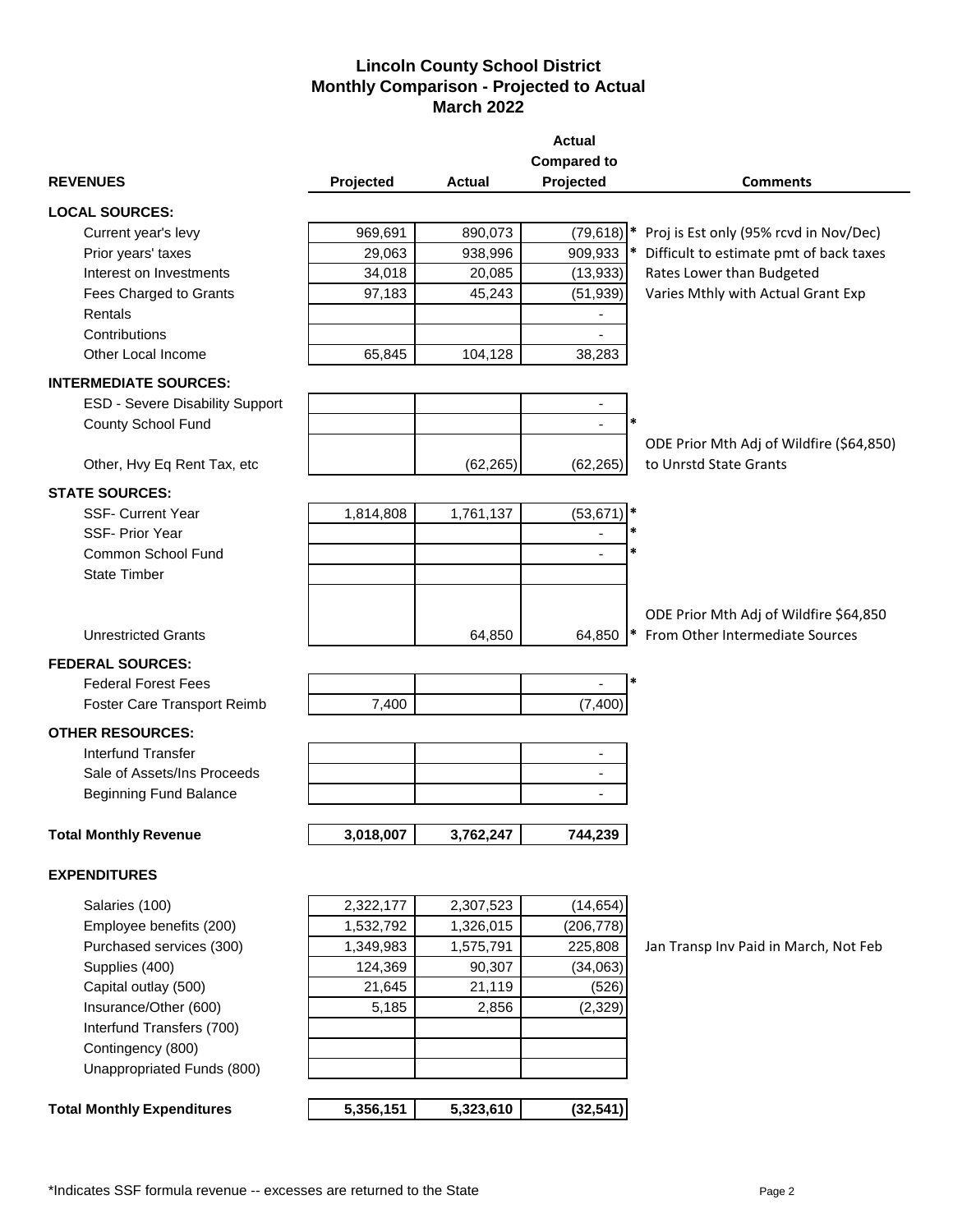# **Lincoln County School District Monthly Comparison - Projected to Actual March 2022**

|                                   |           |           | <b>Actual</b><br><b>Compared to</b> |                                          |
|-----------------------------------|-----------|-----------|-------------------------------------|------------------------------------------|
| <b>REVENUES</b>                   | Projected | Actual    | Projected                           | <b>Comments</b>                          |
| <b>LOCAL SOURCES:</b>             |           |           |                                     |                                          |
| Current year's levy               | 969,691   | 890,073   | (79, 618)                           | * Proj is Est only (95% rcvd in Nov/Dec) |
| Prior years' taxes                | 29,063    | 938,996   | 909,933                             | Difficult to estimate pmt of back taxes  |
| Interest on Investments           | 34,018    | 20,085    | (13,933)                            | Rates Lower than Budgeted                |
| Fees Charged to Grants            | 97,183    | 45,243    | (51, 939)                           | Varies Mthly with Actual Grant Exp       |
| Rentals                           |           |           |                                     |                                          |
| Contributions                     |           |           | ä,                                  |                                          |
| Other Local Income                | 65,845    | 104,128   | 38,283                              |                                          |
| <b>INTERMEDIATE SOURCES:</b>      |           |           |                                     |                                          |
| ESD - Severe Disability Support   |           |           | $\overline{\phantom{a}}$            |                                          |
| County School Fund                |           |           | $\overline{a}$                      |                                          |
|                                   |           |           |                                     | ODE Prior Mth Adj of Wildfire (\$64,850) |
| Other, Hvy Eq Rent Tax, etc       |           | (62, 265) | (62, 265)                           | to Unrstd State Grants                   |
| <b>STATE SOURCES:</b>             |           |           |                                     |                                          |
| <b>SSF- Current Year</b>          | 1,814,808 | 1,761,137 | (53, 671)                           |                                          |
| <b>SSF-Prior Year</b>             |           |           |                                     |                                          |
| Common School Fund                |           |           | 冰<br>÷                              |                                          |
| <b>State Timber</b>               |           |           |                                     |                                          |
|                                   |           |           |                                     |                                          |
|                                   |           |           |                                     | ODE Prior Mth Adj of Wildfire \$64,850   |
| <b>Unrestricted Grants</b>        |           | 64,850    | 64,850                              | From Other Intermediate Sources          |
| <b>FEDERAL SOURCES:</b>           |           |           |                                     |                                          |
| <b>Federal Forest Fees</b>        |           |           |                                     |                                          |
| Foster Care Transport Reimb       | 7,400     |           | (7, 400)                            |                                          |
| <b>OTHER RESOURCES:</b>           |           |           |                                     |                                          |
| <b>Interfund Transfer</b>         |           |           |                                     |                                          |
| Sale of Assets/Ins Proceeds       |           |           | -<br>$\blacksquare$                 |                                          |
| <b>Beginning Fund Balance</b>     |           |           |                                     |                                          |
|                                   |           |           |                                     |                                          |
| <b>Total Monthly Revenue</b>      | 3,018,007 | 3,762,247 | 744,239                             |                                          |
|                                   |           |           |                                     |                                          |
| <b>EXPENDITURES</b>               |           |           |                                     |                                          |
| Salaries (100)                    | 2,322,177 | 2,307,523 | (14, 654)                           |                                          |
| Employee benefits (200)           | 1,532,792 | 1,326,015 | (206, 778)                          |                                          |
| Purchased services (300)          | 1,349,983 | 1,575,791 | 225,808                             | Jan Transp Inv Paid in March, Not Feb    |
| Supplies (400)                    | 124,369   | 90,307    | (34,063)                            |                                          |
| Capital outlay (500)              | 21,645    | 21,119    | (526)                               |                                          |
| Insurance/Other (600)             | 5,185     | 2,856     | (2, 329)                            |                                          |
| Interfund Transfers (700)         |           |           |                                     |                                          |
| Contingency (800)                 |           |           |                                     |                                          |
| Unappropriated Funds (800)        |           |           |                                     |                                          |
|                                   |           |           |                                     |                                          |
| <b>Total Monthly Expenditures</b> | 5,356,151 | 5,323,610 | (32, 541)                           |                                          |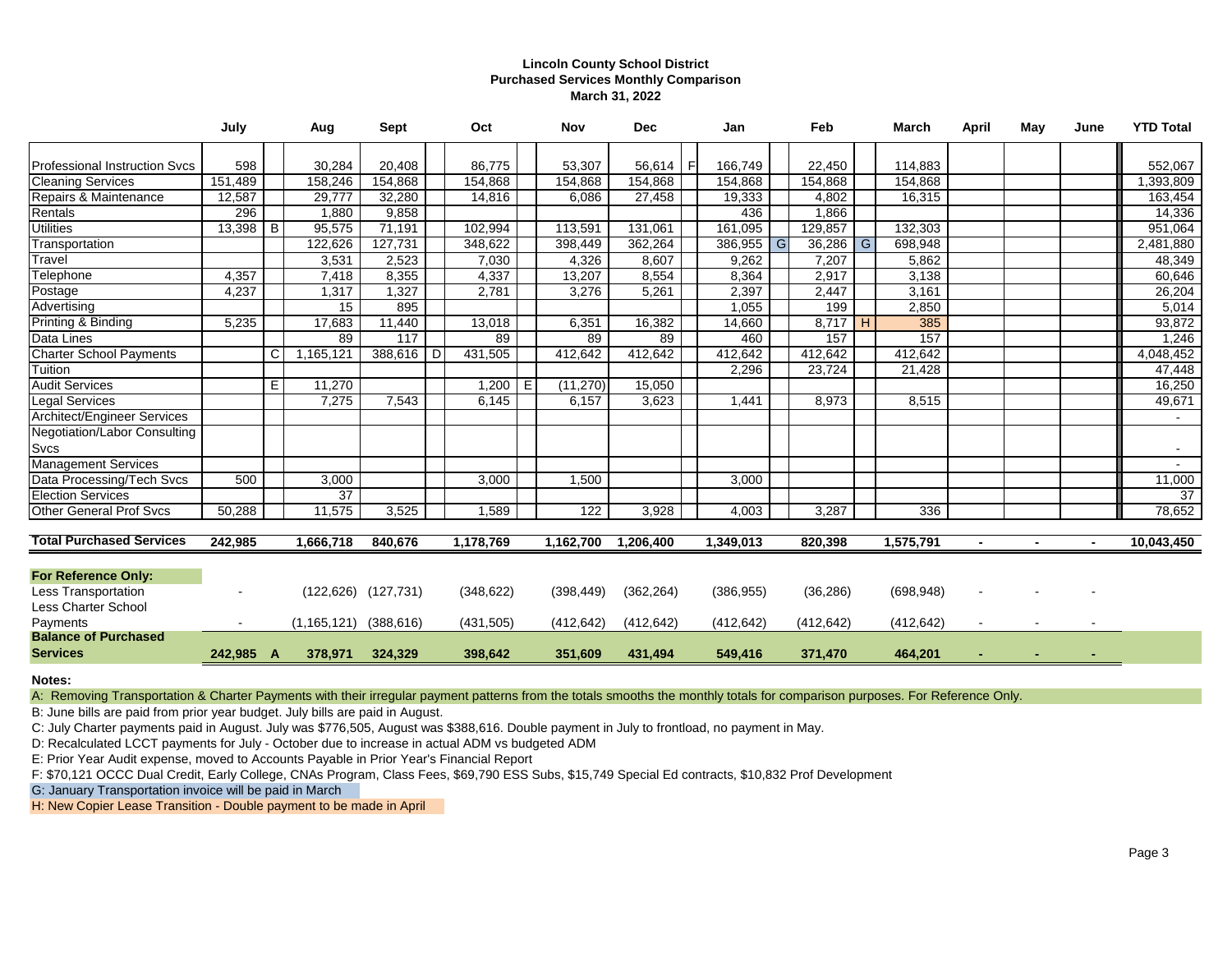### **Lincoln County School District Purchased Services Monthly Comparison March 31, 2022**

|                                      | July       |     | Aug             | <b>Sept</b>               |   | Oct        |   | Nov        | <b>Dec</b> |      | Jan        |    | Feb        | March      | April | May | June | <b>YTD Total</b> |
|--------------------------------------|------------|-----|-----------------|---------------------------|---|------------|---|------------|------------|------|------------|----|------------|------------|-------|-----|------|------------------|
| <b>Professional Instruction Svcs</b> | 598        |     | 30,284          | 20.408                    |   | 86.775     |   | 53,307     | 56,614     | - Fl | 166,749    |    | 22,450     | 114,883    |       |     |      | 552,067          |
| <b>Cleaning Services</b>             | 151,489    |     | 158,246         | 154,868                   |   | 154,868    |   | 154,868    | 154.868    |      | 154,868    |    | 154,868    | 154,868    |       |     |      | ,393,809         |
| Repairs & Maintenance                | 12,587     |     | 29,777          | 32,280                    |   | 14,816     |   | 6,086      | 27,458     |      | 19,333     |    | 4,802      | 16,315     |       |     |      | 163,454          |
| Rentals                              | 296        |     | 1,880           | 9.858                     |   |            |   |            |            |      | 436        |    | 1,866      |            |       |     |      | 14,336           |
| <b>Utilities</b>                     | $13,398$ B |     | 95,575          | 71,191                    |   | 102,994    |   | 113,591    | 131,061    |      | 161,095    |    | 129,857    | 132,303    |       |     |      | 951,064          |
| Transportation                       |            |     | 122,626         | 127,731                   |   | 348,622    |   | 398,449    | 362,264    |      | 386,955    | G. | $36,286$ G | 698,948    |       |     |      | 2,481,880        |
| Travel                               |            |     | 3,531           | 2,523                     |   | 7,030      |   | 4,326      | 8.607      |      | 9,262      |    | 7,207      | 5,862      |       |     |      | 48,349           |
| Telephone                            | 4,357      |     | 7,418           | 8,355                     |   | 4,337      |   | 13,207     | 8,554      |      | 8,364      |    | 2,917      | 3,138      |       |     |      | 60,646           |
| Postage                              | 4,237      |     | 1,317           | 1,327                     |   | 2,781      |   | 3,276      | 5,261      |      | 2,397      |    | 2,447      | 3,161      |       |     |      | 26,204           |
| Advertising                          |            |     | 15              | 895                       |   |            |   |            |            |      | 1,055      |    | 199        | 2,850      |       |     |      | 5,014            |
| Printing & Binding                   | 5,235      |     | 17,683          | 11,440                    |   | 13,018     |   | 6,351      | 16,382     |      | 14,660     |    | $8,717$ H  | 385        |       |     |      | 93,872           |
| Data Lines                           |            |     | $\overline{89}$ | 117                       |   | 89         |   | 89         | 89         |      | 460        |    | 157        | 157        |       |     |      | 1,246            |
| <b>Charter School Payments</b>       |            | C   | 1,165,121       | 388,616                   | D | 431,505    |   | 412,642    | 412,642    |      | 412,642    |    | 412,642    | 412,642    |       |     |      | 4,048,452        |
| Tuition                              |            |     |                 |                           |   |            |   |            |            |      | 2,296      |    | 23,724     | 21,428     |       |     |      | 47,448           |
| <b>Audit Services</b>                |            | E   | 11,270          |                           |   | 1,200      | Е | (11, 270)  | 15,050     |      |            |    |            |            |       |     |      | 16,250           |
| <b>Legal Services</b>                |            |     | 7,275           | 7,543                     |   | 6,145      |   | 6,157      | 3,623      |      | 1,441      |    | 8,973      | 8,515      |       |     |      | 49,671           |
| Architect/Engineer Services          |            |     |                 |                           |   |            |   |            |            |      |            |    |            |            |       |     |      |                  |
| Negotiation/Labor Consulting         |            |     |                 |                           |   |            |   |            |            |      |            |    |            |            |       |     |      |                  |
| Svcs                                 |            |     |                 |                           |   |            |   |            |            |      |            |    |            |            |       |     |      | $\sim$           |
| <b>Management Services</b>           |            |     |                 |                           |   |            |   |            |            |      |            |    |            |            |       |     |      |                  |
| Data Processing/Tech Svcs            | 500        |     | 3,000           |                           |   | 3,000      |   | 1,500      |            |      | 3,000      |    |            |            |       |     |      | 11,000           |
| <b>Election Services</b>             |            |     | $\overline{37}$ |                           |   |            |   |            |            |      |            |    |            |            |       |     |      | $\overline{37}$  |
| <b>Other General Prof Svcs</b>       | 50,288     |     | 11,575          | 3,525                     |   | 1,589      |   | 122        | 3,928      |      | 4,003      |    | 3,287      | 336        |       |     |      | 78,652           |
| <b>Total Purchased Services</b>      |            |     |                 |                           |   |            |   |            |            |      |            |    |            |            |       |     |      |                  |
|                                      | 242,985    |     | 1,666,718       | 840,676                   |   | 1,178,769  |   | 1,162,700  | 1,206,400  |      | 1,349,013  |    | 820,398    | 1,575,791  |       |     |      | 10,043,450       |
| <b>For Reference Only:</b>           |            |     |                 |                           |   |            |   |            |            |      |            |    |            |            |       |     |      |                  |
| <b>Less Transportation</b>           |            |     |                 | $(122, 626)$ $(127, 731)$ |   | (348, 622) |   | (398, 449) | (362, 264) |      | (386, 955) |    | (36, 286)  | (698, 948) |       |     |      |                  |
| Less Charter School                  |            |     |                 |                           |   |            |   |            |            |      |            |    |            |            |       |     |      |                  |
| Payments                             |            |     | (1, 165, 121)   | (388, 616)                |   | (431, 505) |   | (412, 642) | (412, 642) |      | (412, 642) |    | (412, 642) | (412, 642) |       |     |      |                  |
| <b>Balance of Purchased</b>          |            |     |                 |                           |   |            |   |            |            |      |            |    |            |            |       |     |      |                  |
| <b>Services</b>                      | 242,985    | - A | 378,971         | 324,329                   |   | 398,642    |   | 351,609    | 431,494    |      | 549,416    |    | 371,470    | 464,201    |       |     |      |                  |
|                                      |            |     |                 |                           |   |            |   |            |            |      |            |    |            |            |       |     |      |                  |

**Notes:**

A: Removing Transportation & Charter Payments with their irregular payment patterns from the totals smooths the monthly totals for comparison purposes. For Reference Only.

B: June bills are paid from prior year budget. July bills are paid in August.

C: July Charter payments paid in August. July was \$776,505, August was \$388,616. Double payment in July to frontload, no payment in May.

D: Recalculated LCCT payments for July - October due to increase in actual ADM vs budgeted ADM

E: Prior Year Audit expense, moved to Accounts Payable in Prior Year's Financial Report

F: \$70,121 OCCC Dual Credit, Early College, CNAs Program, Class Fees, \$69,790 ESS Subs, \$15,749 Special Ed contracts, \$10,832 Prof Development

G: January Transportation invoice will be paid in March

H: New Copier Lease Transition - Double payment to be made in April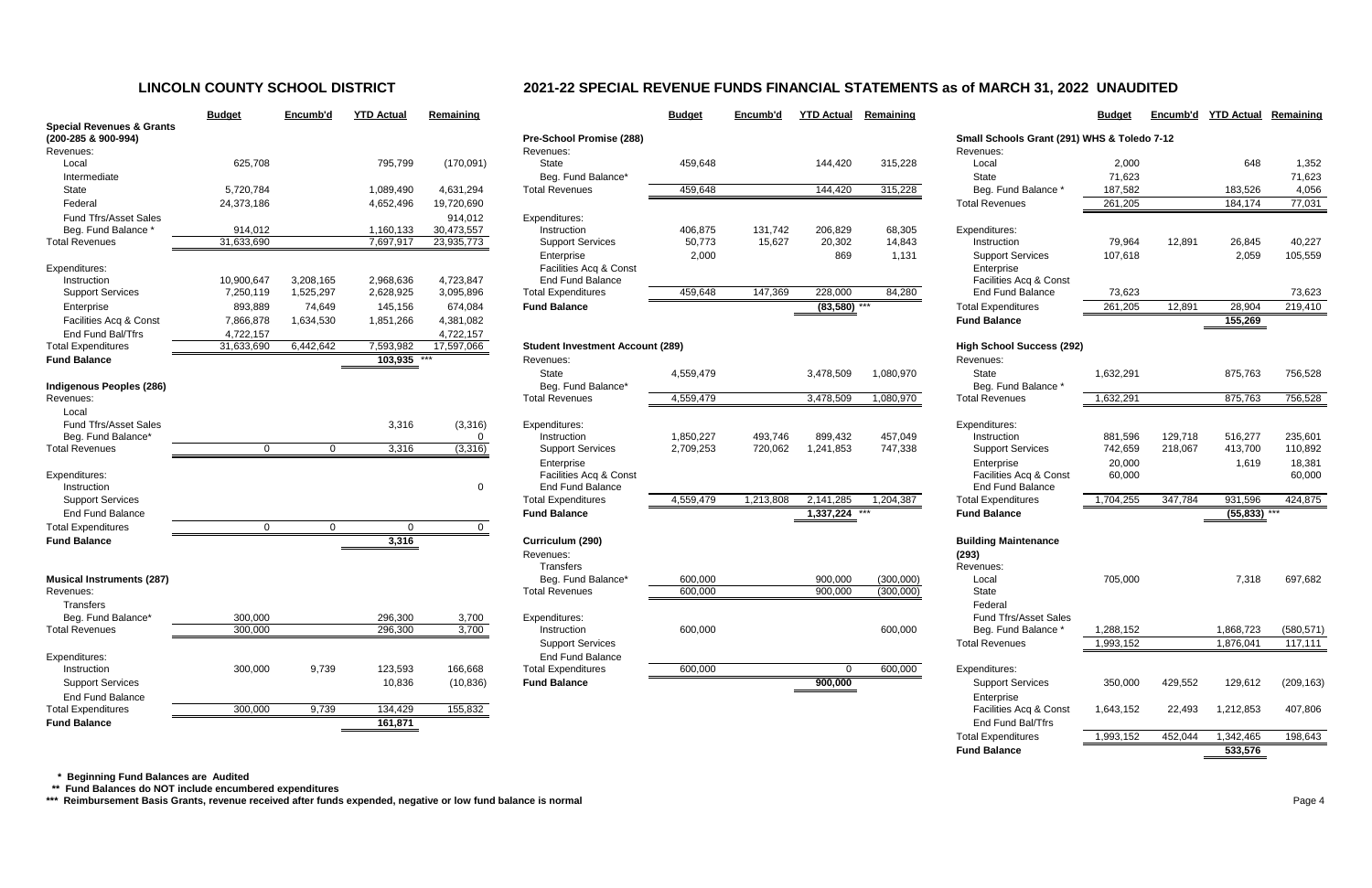|                                      | <b>Budget</b>           | Encumb'd  | <b>YTD Actual</b>      | Remaining               |                                                |
|--------------------------------------|-------------------------|-----------|------------------------|-------------------------|------------------------------------------------|
| <b>Special Revenues &amp; Grants</b> |                         |           |                        |                         |                                                |
| (200-285 & 900-994)                  |                         |           |                        |                         | <b>Pre-School Promise</b>                      |
| Revenues:                            |                         |           |                        |                         | Revenues:                                      |
| Local                                | 625,708                 |           | 795,799                | (170,091)               | State                                          |
| Intermediate                         |                         |           |                        |                         | Beg. Fund Balance                              |
| <b>State</b>                         | 5,720,784               |           | 1,089,490              | 4,631,294               | <b>Total Revenues</b>                          |
| Federal                              | 24,373,186              |           | 4,652,496              | 19,720,690              |                                                |
| <b>Fund Tfrs/Asset Sales</b>         |                         |           |                        | 914,012                 | Expenditures:                                  |
| Beg. Fund Balance *                  | 914,012<br>31,633,690   |           | 1,160,133<br>7,697,917 | 30,473,557              | Instruction                                    |
| <b>Total Revenues</b>                |                         |           |                        | 23,935,773              | <b>Support Services</b>                        |
|                                      |                         |           |                        |                         | Enterprise                                     |
| Expenditures:<br>Instruction         | 10,900,647              | 3,208,165 | 2,968,636              | 4,723,847               | Facilities Acq & Co<br><b>End Fund Balance</b> |
| <b>Support Services</b>              | 7,250,119               | 1,525,297 | 2,628,925              | 3,095,896               | <b>Total Expenditures</b>                      |
| Enterprise                           | 893,889                 | 74,649    | 145,156                | 674,084                 | <b>Fund Balance</b>                            |
| Facilities Acq & Const               | 7,866,878               | 1,634,530 | 1,851,266              | 4,381,082               |                                                |
| End Fund Bal/Tfrs                    |                         |           |                        |                         |                                                |
| <b>Total Expenditures</b>            | 4,722,157<br>31,633,690 | 6,442,642 | 7,593,982              | 4,722,157<br>17,597,066 | Student Investment /                           |
| <b>Fund Balance</b>                  |                         |           | 103,935                |                         | Revenues:                                      |
|                                      |                         |           |                        |                         | State                                          |
| Indigenous Peoples (286)             |                         |           |                        |                         | Beg. Fund Balance                              |
| Revenues:                            |                         |           |                        |                         | <b>Total Revenues</b>                          |
| Local                                |                         |           |                        |                         |                                                |
| <b>Fund Tfrs/Asset Sales</b>         |                         |           | 3,316                  | (3,316)                 | Expenditures:                                  |
| Beg. Fund Balance*                   |                         |           |                        | 0                       | Instruction                                    |
| <b>Total Revenues</b>                | $\Omega$                | 0         | 3,316                  | (3, 316)                | <b>Support Services</b>                        |
|                                      |                         |           |                        |                         | Enterprise                                     |
| Expenditures:                        |                         |           |                        |                         | Facilities Acq & Co                            |
| Instruction                          |                         |           |                        | 0                       | <b>End Fund Balance</b>                        |
| <b>Support Services</b>              |                         |           |                        |                         | <b>Total Expenditures</b>                      |
| <b>End Fund Balance</b>              |                         |           |                        |                         | <b>Fund Balance</b>                            |
| <b>Total Expenditures</b>            | 0                       | 0         | 0                      | 0                       |                                                |
| <b>Fund Balance</b>                  |                         |           | 3,316                  |                         | Curriculum (290)                               |
|                                      |                         |           |                        |                         | Revenues:                                      |
|                                      |                         |           |                        |                         | <b>Transfers</b>                               |
| <b>Musical Instruments (287)</b>     |                         |           |                        |                         | Beg. Fund Balance                              |
| Revenues:                            |                         |           |                        |                         | <b>Total Revenues</b>                          |
| Transfers                            |                         |           |                        |                         |                                                |
| Beg. Fund Balance*                   | 300,000                 |           | 296,300                | 3,700                   | Expenditures:                                  |
| <b>Total Revenues</b>                | 300,000                 |           | 296,300                | 3,700                   | Instruction                                    |
|                                      |                         |           |                        |                         | <b>Support Services</b>                        |
| Expenditures:                        |                         |           |                        |                         | <b>End Fund Balance</b>                        |
| Instruction                          | 300,000                 | 9,739     | 123,593                | 166,668                 | <b>Total Expenditures</b>                      |
| <b>Support Services</b>              |                         |           | 10,836                 | (10, 836)               | <b>Fund Balance</b>                            |
| <b>End Fund Balance</b>              |                         |           |                        |                         |                                                |
| <b>Total Expenditures</b>            | 300,000                 | 9,739     | 134,429                | 155,832                 |                                                |
| <b>Fund Ralance</b>                  |                         |           | 161 871                |                         |                                                |

|                                                             | <b>Budget</b>      | Encumb'd       | <b>YTD Actual</b>  | Remaining      |                                                    | <b>Budget</b> | Encumb'd  | <b>YTD Actual</b> | Remaining |                                                     | <b>Budget</b> | Encumb'd | <b>YTD Actual</b> | Remaining  |
|-------------------------------------------------------------|--------------------|----------------|--------------------|----------------|----------------------------------------------------|---------------|-----------|-------------------|-----------|-----------------------------------------------------|---------------|----------|-------------------|------------|
| <b>Special Revenues &amp; Grants</b><br>(200-285 & 900-994) |                    |                |                    |                | Pre-School Promise (288)                           |               |           |                   |           | Small Schools Grant (291) WHS & Toledo 7-12         |               |          |                   |            |
| Revenues:                                                   |                    |                |                    |                | Revenues:                                          |               |           |                   |           | Revenues:                                           |               |          |                   |            |
| Local                                                       | 625,708            |                | 795,799            | (170,091)      | <b>State</b>                                       | 459,648       |           | 144,420           | 315,228   | Local                                               | 2,000         |          | 648               | 1,352      |
| Intermediate                                                |                    |                |                    |                | Beg. Fund Balance*                                 |               |           |                   |           | State                                               | 71,623        |          |                   | 71,623     |
| State                                                       | 5,720,784          |                | 1,089,490          | 4,631,294      | <b>Total Revenues</b>                              | 459,648       |           | 144,420           | 315,228   | Beg. Fund Balance *                                 | 187,582       |          | 183,526           | 4,056      |
| Federal                                                     | 24,373,186         |                | 4,652,496          | 19,720,690     |                                                    |               |           |                   |           | <b>Total Revenues</b>                               | 261,205       |          | 184,174           | 77,031     |
| <b>Fund Tfrs/Asset Sales</b>                                |                    |                |                    | 914,012        | Expenditures:                                      |               |           |                   |           |                                                     |               |          |                   |            |
| Beg. Fund Balance '                                         | 914,012            |                | 1,160,133          | 30,473,557     | Instruction                                        | 406,875       | 131,742   | 206,829           | 68,305    | Expenditures:                                       |               |          |                   |            |
| <b>Total Revenues</b>                                       | 31,633,690         |                | 7,697,917          | 23,935,773     | <b>Support Services</b>                            | 50,773        | 15,627    | 20,302            | 14,843    | Instruction                                         | 79,964        | 12,891   | 26,845            | 40,227     |
|                                                             |                    |                |                    |                | Enterprise                                         | 2,000         |           | 869               | 1,131     | <b>Support Services</b>                             | 107,618       |          | 2,059             | 105,559    |
| Expenditures:                                               |                    |                |                    |                | Facilities Acq & Const                             |               |           |                   |           | Enterprise                                          |               |          |                   |            |
| Instruction                                                 | 10,900,647         | 3,208,165      | 2,968,636          | 4,723,847      | End Fund Balance                                   |               |           |                   |           | Facilities Acq & Const                              |               |          |                   |            |
| <b>Support Services</b>                                     | 7,250,119          | 1,525,297      | 2,628,925          | 3,095,896      | <b>Total Expenditures</b>                          | 459,648       | 147,369   | 228,000           | 84,280    | <b>End Fund Balance</b>                             | 73,623        |          |                   | 73,623     |
| Enterprise                                                  | 893,889            | 74,649         | 145,156            | 674,084        | <b>Fund Balance</b>                                |               |           | $(83,580)$ ***    |           | <b>Total Expenditures</b>                           | 261,205       | 12,891   | 28,904            | 219,410    |
| Facilities Acq & Const                                      | 7,866,878          | 1,634,530      | 1,851,266          | 4,381,082      |                                                    |               |           |                   |           | <b>Fund Balance</b>                                 |               |          | 155,269           |            |
| End Fund Bal/Tfrs                                           | 4,722,157          |                |                    | 4,722,157      |                                                    |               |           |                   |           |                                                     |               |          |                   |            |
| <b>Total Expenditures</b>                                   | 31,633,690         | 6,442,642      | 7,593,982          | 17,597,066     | <b>Student Investment Account (289)</b>            |               |           |                   |           | <b>High School Success (292)</b>                    |               |          |                   |            |
| <b>Fund Balance</b>                                         |                    |                | 103,935            |                | Revenues:                                          |               |           |                   |           | Revenues:                                           |               |          |                   |            |
|                                                             |                    |                |                    |                | <b>State</b>                                       | 4,559,479     |           | 3,478,509         | 1,080,970 | State                                               | 1,632,291     |          | 875,763           | 756,528    |
| Indigenous Peoples (286)                                    |                    |                |                    |                | Beg. Fund Balance*                                 |               |           |                   |           | Beg. Fund Balance *                                 |               |          |                   |            |
| Revenues:                                                   |                    |                |                    |                | <b>Total Revenues</b>                              | 4,559,479     |           | 3,478,509         | 1,080,970 | <b>Total Revenues</b>                               | 1,632,291     |          | 875,763           | 756,528    |
| Local                                                       |                    |                |                    |                |                                                    |               |           |                   |           |                                                     |               |          |                   |            |
| <b>Fund Tfrs/Asset Sales</b>                                |                    |                | 3,316              | (3,316)        | Expenditures:                                      |               |           |                   |           | Expenditures:                                       |               |          |                   |            |
| Beg. Fund Balance*                                          |                    |                |                    | 0              | Instruction                                        | 1,850,227     | 493,746   | 899,432           | 457,049   | Instruction                                         | 881,596       | 129,718  | 516,277           | 235,601    |
| <b>Total Revenues</b>                                       | $\mathbf{0}$       | $\Omega$       | 3,316              | (3,316)        | <b>Support Services</b>                            | 2,709,253     | 720,062   | 1,241,853         | 747,338   | <b>Support Services</b>                             | 742,659       | 218,067  | 413,700           | 110,892    |
|                                                             |                    |                |                    |                | Enterprise                                         |               |           |                   |           | Enterprise                                          | 20,000        |          | 1,619             | 18,381     |
| Expenditures:                                               |                    |                |                    |                | Facilities Acq & Const                             |               |           |                   |           | Facilities Acq & Const                              | 60,000        |          |                   | 60,000     |
| Instruction                                                 |                    |                |                    | 0              | End Fund Balance                                   |               |           |                   |           | End Fund Balance                                    |               |          |                   |            |
| <b>Support Services</b>                                     |                    |                |                    |                | <b>Total Expenditures</b>                          | 4,559,479     | 1,213,808 | 2,141,285         | 1,204,387 | <b>Total Expenditures</b>                           | 1,704,255     | 347,784  | 931,596           | 424,875    |
| <b>End Fund Balance</b>                                     |                    |                |                    |                | <b>Fund Balance</b>                                |               |           | 1,337,224         |           | <b>Fund Balance</b>                                 |               |          | (55, 833)         |            |
| <b>Total Expenditures</b>                                   | $\overline{0}$     | $\overline{0}$ | $\overline{0}$     | $\Omega$       |                                                    |               |           |                   |           |                                                     |               |          |                   |            |
| <b>Fund Balance</b>                                         |                    |                | 3,316              |                | Curriculum (290)                                   |               |           |                   |           | <b>Building Maintenance</b>                         |               |          |                   |            |
|                                                             |                    |                |                    |                | Revenues:                                          |               |           |                   |           | (293)                                               |               |          |                   |            |
|                                                             |                    |                |                    |                | Transfers                                          |               |           |                   |           | Revenues:                                           |               |          |                   |            |
| <b>Musical Instruments (287)</b>                            |                    |                |                    |                | Beg. Fund Balance*<br><b>Total Revenues</b>        | 600,000       |           | 900,000           | (300,000) | Local<br>State                                      | 705,000       |          | 7,318             | 697,682    |
| Revenues:                                                   |                    |                |                    |                |                                                    | 600,000       |           | 900,000           | (300,000) |                                                     |               |          |                   |            |
| <b>Transfers</b>                                            |                    |                |                    |                |                                                    |               |           |                   |           | Federal                                             |               |          |                   |            |
| Beg. Fund Balance*<br><b>Total Revenues</b>                 | 300,000<br>300,000 |                | 296,300<br>296,300 | 3,700<br>3,700 | Expenditures:<br>Instruction                       | 600,000       |           |                   | 600,000   | <b>Fund Tfrs/Asset Sales</b><br>Beg. Fund Balance * | 1,288,152     |          | 1,868,723         | (580, 571) |
|                                                             |                    |                |                    |                |                                                    |               |           |                   |           | <b>Total Revenues</b>                               |               |          | 1,876,041         | 117,111    |
|                                                             |                    |                |                    |                | <b>Support Services</b><br><b>End Fund Balance</b> |               |           |                   |           |                                                     | 1,993,152     |          |                   |            |
| Expenditures:<br>Instruction                                | 300,000            | 9,739          | 123,593            | 166,668        | <b>Total Expenditures</b>                          | 600,000       |           | $\Omega$          | 600,000   | Expenditures:                                       |               |          |                   |            |
| <b>Support Services</b>                                     |                    |                |                    |                | <b>Fund Balance</b>                                |               |           |                   |           |                                                     |               |          |                   |            |
|                                                             |                    |                | 10,836             | (10, 836)      |                                                    |               |           | 900,000           |           | <b>Support Services</b>                             | 350,000       | 429,552  | 129,612           | (209, 163) |
| End Fund Balance                                            | 300,000            | 9,739          |                    |                |                                                    |               |           |                   |           | Enterprise<br>Facilities Acq & Const                |               |          |                   |            |
| <b>Total Expenditures</b>                                   |                    |                | 134,429            | 155,832        |                                                    |               |           |                   |           | End Fund Bal/Tfrs                                   | 1,643,152     | 22,493   | 1,212,853         | 407,806    |
| <b>Fund Balance</b>                                         |                    |                | 161,871            |                |                                                    |               |           |                   |           |                                                     |               |          |                   |            |
|                                                             |                    |                |                    |                |                                                    |               |           |                   |           | <b>Total Expenditures</b>                           | 1,993,152     | 452,044  | 1,342,465         | 198,643    |
|                                                             |                    |                |                    |                |                                                    |               |           |                   |           | <b>Fund Balance</b>                                 |               |          | 533,576           |            |

 **\* Beginning Fund Balances are Audited**

 **\*\* Fund Balances do NOT include encumbered expenditures**

\*\*\* Reimbursement Basis Grants, revenue received after funds expended, negative or low fund balance is normal

# **LINCOLN COUNTY SCHOOL DISTRICT 2021-22 SPECIAL REVENUE FUNDS FINANCIAL STATEMENTS as of MARCH 31, 2022 UNAUDITED**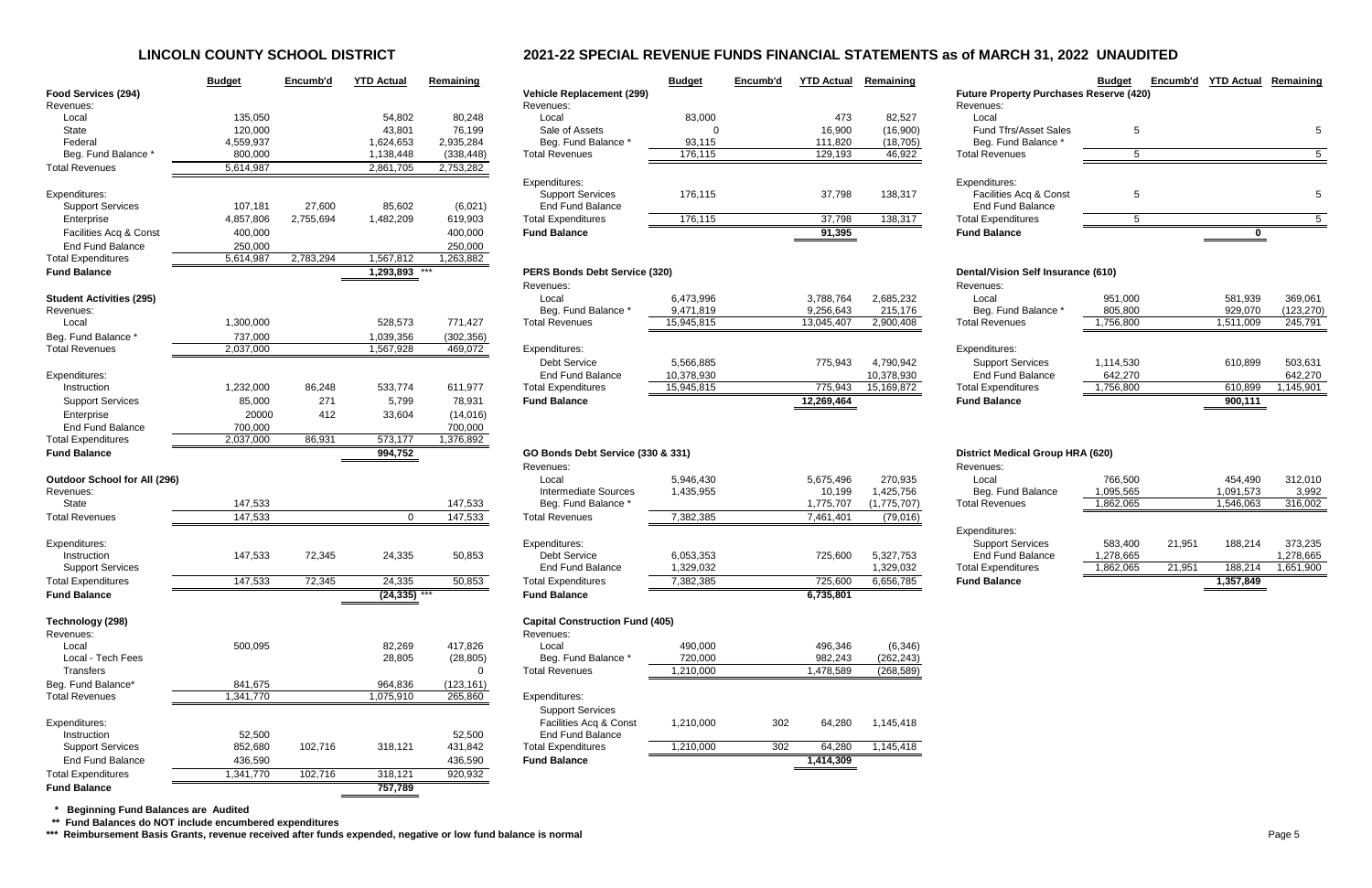# **LINCOLN COUNTY SCHOOL DISTRICT 2021-22 SPECIAL REVENUE FUNDS FINANCIAL STATEMENTS as of MARCH 31, 2022 UNAUDITED**

|                                     | <b>Budget</b> | Encumb'd  | <b>YTD Actual</b> | Remaining  |                                                   | <b>Budget</b> | Encumb'd | <b>YTD Actual</b> | Remaining   |                                                | <b>Budget</b> |        | Encumb'd YTD Actual | Remaining  |
|-------------------------------------|---------------|-----------|-------------------|------------|---------------------------------------------------|---------------|----------|-------------------|-------------|------------------------------------------------|---------------|--------|---------------------|------------|
| Food Services (294)                 |               |           |                   |            | <b>Vehicle Replacement (299)</b>                  |               |          |                   |             | <b>Future Property Purchases Reserve (420)</b> |               |        |                     |            |
| Revenues:                           |               |           |                   |            | Revenues:                                         |               |          |                   |             | Revenues:                                      |               |        |                     |            |
| Local                               | 135,050       |           | 54,802            | 80,248     | Local                                             | 83,000        |          | 473               | 82,527      | Local                                          |               |        |                     |            |
| State                               | 120,000       |           | 43,801            | 76,199     | Sale of Assets                                    | $\Omega$      |          | 16,900            | (16,900)    | <b>Fund Tfrs/Asset Sales</b>                   | 5             |        |                     |            |
| Federal                             | 4,559,937     |           | 1,624,653         | 2,935,284  | Beg. Fund Balance *                               | 93,115        |          | 111,820           | (18, 705)   | Beg. Fund Balance                              |               |        |                     |            |
| Beg. Fund Balance                   | 800,000       |           | 1,138,448         | (338, 448) | <b>Total Revenues</b>                             | 176,115       |          | 129,193           | 46,922      | <b>Total Revenues</b>                          | 5             |        |                     |            |
| <b>Total Revenues</b>               | 5,614,987     |           | 2,861,705         | 2,753,282  |                                                   |               |          |                   |             |                                                |               |        |                     |            |
| Expenditures:                       |               |           |                   |            | Expenditures:<br><b>Support Services</b>          | 176,115       |          | 37,798            | 138,317     | Expenditures:<br>Facilities Acq & Const        | 5             |        |                     |            |
| <b>Support Services</b>             | 107,181       | 27,600    | 85,602            | (6,021)    | <b>End Fund Balance</b>                           |               |          |                   |             | <b>End Fund Balance</b>                        |               |        |                     |            |
| Enterprise                          | 4,857,806     | 2,755,694 | 1,482,209         | 619,903    | <b>Total Expenditures</b>                         | 176,115       |          | 37,798            | 138,317     | <b>Total Expenditures</b>                      | 5             |        |                     | 5          |
| Facilities Acq & Const              | 400,000       |           |                   | 400,000    | <b>Fund Balance</b>                               |               |          | 91,395            |             | <b>Fund Balance</b>                            |               |        |                     |            |
| <b>End Fund Balance</b>             | 250,000       |           |                   | 250,000    |                                                   |               |          |                   |             |                                                |               |        |                     |            |
| <b>Total Expenditures</b>           | 5,614,987     | 2,783,294 | 1,567,812         | 1,263,882  |                                                   |               |          |                   |             |                                                |               |        |                     |            |
| <b>Fund Balance</b>                 |               |           | 1,293,893 ***     |            | PERS Bonds Debt Service (320)                     |               |          |                   |             | <b>Dental/Vision Self Insurance (610)</b>      |               |        |                     |            |
|                                     |               |           |                   |            | Revenues:                                         |               |          |                   |             | Revenues:                                      |               |        |                     |            |
| <b>Student Activities (295)</b>     |               |           |                   |            | Local                                             | 6,473,996     |          | 3,788,764         | 2,685,232   | Local                                          | 951,000       |        | 581,939             | 369,061    |
| Revenues:                           |               |           |                   |            | Beg. Fund Balance                                 | 9,471,819     |          | 9,256,643         | 215,176     | Beg. Fund Balance *                            | 805,800       |        | 929,070             | (123, 270) |
| Local                               | 1,300,000     |           | 528,573           | 771,427    | <b>Total Revenues</b>                             | 15,945,815    |          | 13,045,407        | 2,900,408   | <b>Total Revenues</b>                          | 1,756,800     |        | 1,511,009           | 245,791    |
| Beg. Fund Balance                   | 737,000       |           | 1,039,356         | (302, 356) |                                                   |               |          |                   |             |                                                |               |        |                     |            |
| <b>Total Revenues</b>               | 2,037,000     |           | 1,567,928         | 469,072    | Expenditures:                                     |               |          |                   |             | Expenditures:                                  |               |        |                     |            |
|                                     |               |           |                   |            | <b>Debt Service</b>                               | 5,566,885     |          | 775,943           | 4,790,942   | <b>Support Services</b>                        | 1,114,530     |        | 610,899             | 503,631    |
| Expenditures:                       |               |           |                   |            | <b>End Fund Balance</b>                           | 10,378,930    |          |                   | 10,378,930  | End Fund Balance                               | 642,270       |        |                     | 642,270    |
| Instruction                         | 1,232,000     | 86,248    | 533,774           | 611,977    | <b>Total Expenditures</b>                         | 15,945,815    |          | 775,943           | 15,169,872  | <b>Total Expenditures</b>                      | 1,756,800     |        | 610,899             | 1,145,901  |
| <b>Support Services</b>             | 85,000        | 271       | 5,799             | 78,931     | <b>Fund Balance</b>                               |               |          | 12,269,464        |             | <b>Fund Balance</b>                            |               |        | 900,111             |            |
| Enterprise                          | 20000         | 412       | 33,604            | (14, 016)  |                                                   |               |          |                   |             |                                                |               |        |                     |            |
| <b>End Fund Balance</b>             | 700,000       |           |                   | 700,000    |                                                   |               |          |                   |             |                                                |               |        |                     |            |
| <b>Total Expenditures</b>           | 2,037,000     | 86,931    | 573,177           | 1,376,892  |                                                   |               |          |                   |             |                                                |               |        |                     |            |
| <b>Fund Balance</b>                 |               |           | 994,752           |            | GO Bonds Debt Service (330 & 331)                 |               |          |                   |             | <b>District Medical Group HRA (620)</b>        |               |        |                     |            |
|                                     |               |           |                   |            | Revenues:                                         |               |          |                   |             | Revenues:                                      |               |        |                     |            |
| <b>Outdoor School for All (296)</b> |               |           |                   |            | Local                                             | 5,946,430     |          | 5,675,496         | 270,935     | Local                                          | 766,500       |        | 454,490             | 312,010    |
| Revenues:                           |               |           |                   |            | <b>Intermediate Sources</b>                       | 1,435,955     |          | 10,199            | 1,425,756   | Beg. Fund Balance                              | 1,095,565     |        | 1,091,573           | 3,992      |
| State                               | 147,533       |           |                   | 147,533    | Beg. Fund Balance *                               |               |          | 1,775,707         | (1,775,707) | <b>Total Revenues</b>                          | 1,862,065     |        | 1,546,063           | 316,002    |
| <b>Total Revenues</b>               | 147,533       |           | $\overline{0}$    | 147,533    | <b>Total Revenues</b>                             | 7,382,385     |          | 7,461,401         | (79,016)    |                                                |               |        |                     |            |
| Expenditures:                       |               |           |                   |            | Expenditures:                                     |               |          |                   |             | Expenditures:<br><b>Support Services</b>       | 583,400       | 21,951 | 188,214             | 373,235    |
| Instruction                         | 147,533       | 72,345    | 24,335            | 50,853     | <b>Debt Service</b>                               | 6,053,353     |          | 725,600           | 5,327,753   | <b>End Fund Balance</b>                        | 1,278,665     |        |                     | 1,278,665  |
| <b>Support Services</b>             |               |           |                   |            | <b>End Fund Balance</b>                           | 1,329,032     |          |                   | 1,329,032   | <b>Total Expenditures</b>                      | 1,862,065     | 21,951 | 188,214             | 1,651,900  |
| <b>Total Expenditures</b>           | 147,533       | 72,345    | 24,335            | 50,853     | <b>Total Expenditures</b>                         | 7,382,385     |          | 725,600           | 6,656,785   | <b>Fund Balance</b>                            |               |        | 1,357,849           |            |
| <b>Fund Balance</b>                 |               |           | $(24, 335)$ ***   |            | <b>Fund Balance</b>                               |               |          | 6,735,801         |             |                                                |               |        |                     |            |
|                                     |               |           |                   |            |                                                   |               |          |                   |             |                                                |               |        |                     |            |
| Technology (298)                    |               |           |                   |            | <b>Capital Construction Fund (405)</b>            |               |          |                   |             |                                                |               |        |                     |            |
| Revenues:                           |               |           |                   |            | Revenues:                                         |               |          |                   |             |                                                |               |        |                     |            |
| Local                               | 500,095       |           | 82,269            | 417,826    | Local                                             | 490,000       |          | 496,346           | (6, 346)    |                                                |               |        |                     |            |
| Local - Tech Fees                   |               |           | 28,805            | (28, 805)  | Beg. Fund Balance *                               | 720,000       |          | 982,243           | (262, 243)  |                                                |               |        |                     |            |
| Transfers                           |               |           |                   | $\Omega$   | <b>Total Revenues</b>                             | 1,210,000     |          | 1,478,589         | (268, 589)  |                                                |               |        |                     |            |
| Beg. Fund Balance*                  | 841,675       |           | 964,836           | (123, 161) |                                                   |               |          |                   |             |                                                |               |        |                     |            |
| <b>Total Revenues</b>               | 1,341,770     |           | 1,075,910         | 265,860    | Expenditures:                                     |               |          |                   |             |                                                |               |        |                     |            |
|                                     |               |           |                   |            | <b>Support Services</b><br>Facilities Acq & Const |               |          |                   |             |                                                |               |        |                     |            |
| Expenditures:<br>Instruction        | 52,500        |           |                   | 52,500     | <b>End Fund Balance</b>                           | 1,210,000     | 302      | 64,280            | 1,145,418   |                                                |               |        |                     |            |
| <b>Support Services</b>             | 852,680       | 102,716   | 318,121           | 431,842    | <b>Total Expenditures</b>                         | 1,210,000     | 302      | 64,280            | 1,145,418   |                                                |               |        |                     |            |
| <b>End Fund Balance</b>             | 436.590       |           |                   | 436.590    | <b>Fund Balance</b>                               |               |          | 1.414.309         |             |                                                |               |        |                     |            |
|                                     |               |           |                   |            |                                                   |               |          |                   |             |                                                |               |        |                     |            |

| rs/Asset Sales<br>nd Balance * | 5 | 5 |
|--------------------------------|---|---|
| nues                           | 5 | 5 |
|                                |   |   |
| S.                             |   |   |
| s Acq & Const<br>nd Balance    | 5 | 5 |
| ditures                        | 5 | 5 |
| ıce                            |   |   |

| ıce          |           | 900,111   |            |
|--------------|-----------|-----------|------------|
| ditures      | 1,756,800 | 610,899   | 1,145,901  |
| nd Balance   | 642,270   |           | 642,270    |
| Services     | 1,114,530 | 610,899   | 503,631    |
| s:           |           |           |            |
| iues         | 1,756,800 | 1,511,009 | 245,791    |
| nd Balance * | 805,800   | 929,070   | (123, 270) |
|              | 951,000   | 581,939   | 369,061    |
|              |           |           |            |

| ıce            |           |        | 1,357,849 |           |
|----------------|-----------|--------|-----------|-----------|
| ditures        | 1,862,065 | 21,951 | 188,214   | 1,651,900 |
| nd Balance     | 1,278,665 |        |           | 1,278,665 |
| s:<br>Services | 583,400   | 21.951 | 188.214   | 373,235   |
| iues           | 1,862,065 |        | 1,546,063 | 316,002   |
|                |           |        |           |           |
| nd Balance     | 1,095,565 |        | 1,091,573 | 3,992     |
|                | 766,500   |        | 454,490   | 312,010   |
|                |           |        |           |           |

|                                     | <b>Budget</b> | Encumb'd  | <b>YTD Actual</b> | Remaining  |                                        | <b>Budget</b> | Encumb'd | <b>YTD Actual</b> | Remaining   |
|-------------------------------------|---------------|-----------|-------------------|------------|----------------------------------------|---------------|----------|-------------------|-------------|
| Food Services (294)                 |               |           |                   |            | <b>Vehicle Replacement (299)</b>       |               |          |                   |             |
| Revenues:                           |               |           |                   |            | Revenues:                              |               |          |                   |             |
| Local                               | 135,050       |           | 54,802            | 80,248     | Local                                  | 83,000        |          | 473               | 82,527      |
| <b>State</b>                        | 120,000       |           | 43,801            | 76,199     | Sale of Assets                         | 0             |          | 16,900            | (16,900)    |
| Federal                             | 4,559,937     |           | 1,624,653         | 2,935,284  | Beg. Fund Balance *                    | 93,115        |          | 111,820           | (18, 705)   |
| Beg. Fund Balance *                 | 800,000       |           | 1,138,448         | (338, 448) | <b>Total Revenues</b>                  | 176,115       |          | 129,193           | 46,922      |
| <b>Total Revenues</b>               | 5,614,987     |           | 2,861,705         | 2,753,282  |                                        |               |          |                   |             |
|                                     |               |           |                   |            | Expenditures:                          |               |          |                   |             |
| Expenditures:                       |               |           |                   |            | <b>Support Services</b>                | 176,115       |          | 37,798            | 138,317     |
| <b>Support Services</b>             | 107,181       | 27,600    | 85,602            | (6,021)    | <b>End Fund Balance</b>                |               |          |                   |             |
| Enterprise                          | 4,857,806     | 2,755,694 | 1,482,209         | 619,903    | <b>Total Expenditures</b>              | 176,115       |          | 37,798            | 138,317     |
| Facilities Acq & Const              | 400,000       |           |                   | 400,000    | <b>Fund Balance</b>                    |               |          | 91,395            |             |
| <b>End Fund Balance</b>             | 250,000       |           |                   | 250,000    |                                        |               |          |                   |             |
| <b>Total Expenditures</b>           | 5,614,987     | 2,783,294 | 1,567,812         | 1,263,882  |                                        |               |          |                   |             |
|                                     |               |           |                   |            |                                        |               |          |                   |             |
| <b>Fund Balance</b>                 |               |           | 1,293,893         |            | PERS Bonds Debt Service (320)          |               |          |                   |             |
|                                     |               |           |                   |            | Revenues:                              |               |          |                   |             |
| <b>Student Activities (295)</b>     |               |           |                   |            | Local                                  | 6,473,996     |          | 3,788,764         | 2,685,232   |
| Revenues:                           |               |           |                   |            | Beg. Fund Balance *                    | 9,471,819     |          | 9,256,643         | 215,176     |
| Local                               | 1,300,000     |           | 528,573           | 771,427    | <b>Total Revenues</b>                  | 15,945,815    |          | 13,045,407        | 2,900,408   |
| Beg. Fund Balance *                 | 737,000       |           | 1,039,356         | (302, 356) |                                        |               |          |                   |             |
| <b>Total Revenues</b>               | 2,037,000     |           | 1,567,928         | 469,072    | Expenditures:                          |               |          |                   |             |
|                                     |               |           |                   |            | <b>Debt Service</b>                    | 5,566,885     |          | 775,943           | 4,790,942   |
| Expenditures:                       |               |           |                   |            | <b>End Fund Balance</b>                | 10,378,930    |          |                   | 10,378,930  |
| Instruction                         | 1,232,000     | 86,248    | 533,774           | 611,977    | <b>Total Expenditures</b>              | 15,945,815    |          | 775,943           | 15,169,872  |
| <b>Support Services</b>             | 85,000        | 271       | 5,799             | 78,931     | <b>Fund Balance</b>                    |               |          | 12,269,464        |             |
| Enterprise                          | 20000         | 412       | 33,604            | (14, 016)  |                                        |               |          |                   |             |
| <b>End Fund Balance</b>             | 700,000       |           |                   | 700,000    |                                        |               |          |                   |             |
| <b>Total Expenditures</b>           | 2,037,000     | 86,931    | 573,177           | 1,376,892  |                                        |               |          |                   |             |
|                                     |               |           |                   |            |                                        |               |          |                   |             |
| <b>Fund Balance</b>                 |               |           | 994,752           |            | GO Bonds Debt Service (330 & 331)      |               |          |                   |             |
|                                     |               |           |                   |            | Revenues:                              |               |          |                   |             |
| <b>Outdoor School for All (296)</b> |               |           |                   |            | Local                                  | 5,946,430     |          | 5,675,496         | 270,935     |
| Revenues:                           |               |           |                   |            | <b>Intermediate Sources</b>            | 1,435,955     |          | 10,199            | 1,425,756   |
| <b>State</b>                        | 147,533       |           |                   | 147,533    | Beg. Fund Balance *                    |               |          | 1,775,707         | (1,775,707) |
| <b>Total Revenues</b>               | 147,533       |           | $\mathbf 0$       | 147,533    | <b>Total Revenues</b>                  | 7,382,385     |          | 7,461,401         | (79, 016)   |
|                                     |               |           |                   |            |                                        |               |          |                   |             |
| Expenditures:                       |               |           |                   |            | Expenditures:                          |               |          |                   |             |
| Instruction                         | 147,533       | 72,345    | 24,335            | 50,853     | <b>Debt Service</b>                    | 6,053,353     |          | 725,600           | 5,327,753   |
| <b>Support Services</b>             |               |           |                   |            | <b>End Fund Balance</b>                | 1,329,032     |          |                   | 1,329,032   |
| <b>Total Expenditures</b>           | 147,533       | 72,345    | 24,335            | 50,853     | <b>Total Expenditures</b>              | 7,382,385     |          | 725,600           | 6,656,785   |
| <b>Fund Balance</b>                 |               |           | (24, 335)         |            | <b>Fund Balance</b>                    |               |          | 6,735,801         |             |
|                                     |               |           |                   |            |                                        |               |          |                   |             |
| Technology (298)                    |               |           |                   |            | <b>Capital Construction Fund (405)</b> |               |          |                   |             |
| Revenues:                           |               |           |                   |            | Revenues:                              |               |          |                   |             |
| Local                               | 500,095       |           | 82,269            | 417,826    | Local                                  | 490,000       |          | 496,346           | (6, 346)    |
| Local - Tech Fees                   |               |           | 28,805            | (28, 805)  | Beg. Fund Balance *                    | 720,000       |          | 982,243           | (262, 243)  |
| <b>Transfers</b>                    |               |           |                   | 0          | <b>Total Revenues</b>                  | 1,210,000     |          | 1,478,589         | (268, 589)  |
| Beg. Fund Balance*                  | 841,675       |           | 964,836           | (123, 161) |                                        |               |          |                   |             |
| <b>Total Revenues</b>               | 1,341,770     |           | 1,075,910         | 265,860    | Expenditures:                          |               |          |                   |             |
|                                     |               |           |                   |            | <b>Support Services</b>                |               |          |                   |             |
| Expenditures:                       |               |           |                   |            | Facilities Acq & Const                 | 1,210,000     | 302      | 64,280            | 1,145,418   |
| Instruction                         | 52,500        |           |                   | 52,500     | <b>End Fund Balance</b>                |               |          |                   |             |
| <b>Support Services</b>             | 852,680       | 102,716   | 318,121           | 431,842    | <b>Total Expenditures</b>              | 1,210,000     | 302      | 64,280            | 1,145,418   |
| <b>End Fund Balance</b>             | 436,590       |           |                   | 436,590    | <b>Fund Balance</b>                    |               |          | 1,414,309         |             |
| <b>Total Expenditures</b>           | 1,341,770     | 102,716   | 318,121           | 920,932    |                                        |               |          |                   |             |
|                                     |               |           |                   |            |                                        |               |          |                   |             |
| <b>Fund Balance</b>                 |               |           | 757,789           |            |                                        |               |          |                   |             |

 **\* Beginning Fund Balances are Audited**

 **\*\* Fund Balances do NOT include encumbered expenditures**

\*\*\* Reimbursement Basis Grants, revenue received after funds expended, negative or low fund balance is normal **Page 1000 and the expended of the system** Page 5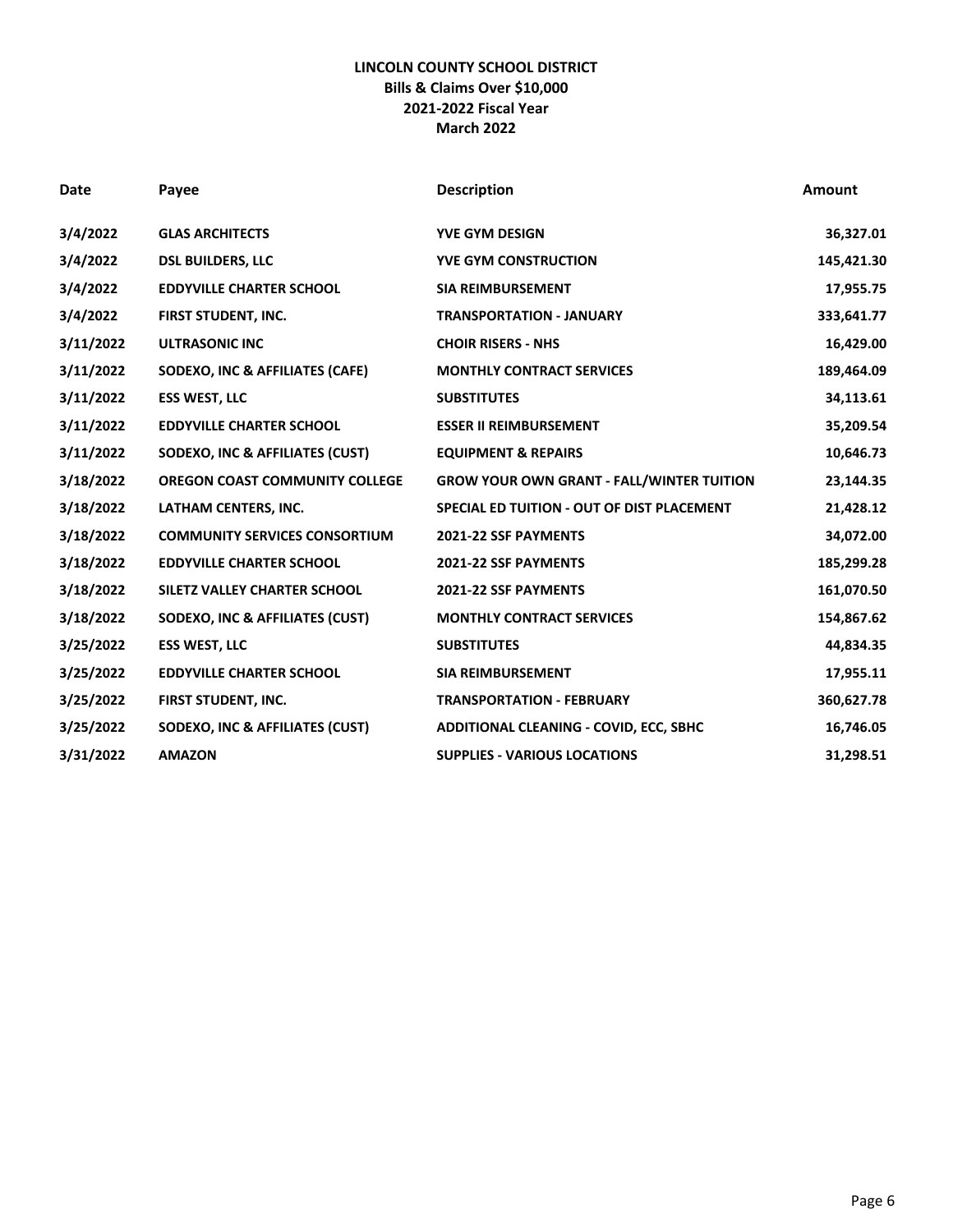## **LINCOLN COUNTY SCHOOL DISTRICT Bills & Claims Over \$10,000 2021-2022 Fiscal Year March 2022**

| Date      | Payee                                 | <b>Description</b>                               | Amount     |
|-----------|---------------------------------------|--------------------------------------------------|------------|
| 3/4/2022  | <b>GLAS ARCHITECTS</b>                | <b>YVE GYM DESIGN</b>                            | 36,327.01  |
| 3/4/2022  | <b>DSL BUILDERS, LLC</b>              | <b>YVE GYM CONSTRUCTION</b>                      | 145,421.30 |
| 3/4/2022  | <b>EDDYVILLE CHARTER SCHOOL</b>       | <b>SIA REIMBURSEMENT</b>                         | 17,955.75  |
| 3/4/2022  | FIRST STUDENT, INC.                   | <b>TRANSPORTATION - JANUARY</b>                  | 333,641.77 |
| 3/11/2022 | <b>ULTRASONIC INC</b>                 | <b>CHOIR RISERS - NHS</b>                        | 16,429.00  |
| 3/11/2022 | SODEXO, INC & AFFILIATES (CAFE)       | <b>MONTHLY CONTRACT SERVICES</b>                 | 189,464.09 |
| 3/11/2022 | <b>ESS WEST, LLC</b>                  | <b>SUBSTITUTES</b>                               | 34,113.61  |
| 3/11/2022 | <b>EDDYVILLE CHARTER SCHOOL</b>       | <b>ESSER II REIMBURSEMENT</b>                    | 35,209.54  |
| 3/11/2022 | SODEXO, INC & AFFILIATES (CUST)       | <b>EQUIPMENT &amp; REPAIRS</b>                   | 10,646.73  |
| 3/18/2022 | <b>OREGON COAST COMMUNITY COLLEGE</b> | <b>GROW YOUR OWN GRANT - FALL/WINTER TUITION</b> | 23,144.35  |
| 3/18/2022 | LATHAM CENTERS, INC.                  | SPECIAL ED TUITION - OUT OF DIST PLACEMENT       | 21,428.12  |
| 3/18/2022 | <b>COMMUNITY SERVICES CONSORTIUM</b>  | 2021-22 SSF PAYMENTS                             | 34,072.00  |
| 3/18/2022 | <b>EDDYVILLE CHARTER SCHOOL</b>       | 2021-22 SSF PAYMENTS                             | 185,299.28 |
| 3/18/2022 | SILETZ VALLEY CHARTER SCHOOL          | 2021-22 SSF PAYMENTS                             | 161,070.50 |
| 3/18/2022 | SODEXO, INC & AFFILIATES (CUST)       | <b>MONTHLY CONTRACT SERVICES</b>                 | 154,867.62 |
| 3/25/2022 | <b>ESS WEST, LLC</b>                  | <b>SUBSTITUTES</b>                               | 44,834.35  |
| 3/25/2022 | <b>EDDYVILLE CHARTER SCHOOL</b>       | <b>SIA REIMBURSEMENT</b>                         | 17,955.11  |
| 3/25/2022 | FIRST STUDENT, INC.                   | <b>TRANSPORTATION - FEBRUARY</b>                 | 360,627.78 |
| 3/25/2022 | SODEXO, INC & AFFILIATES (CUST)       | ADDITIONAL CLEANING - COVID, ECC, SBHC           | 16,746.05  |
| 3/31/2022 | <b>AMAZON</b>                         | <b>SUPPLIES - VARIOUS LOCATIONS</b>              | 31,298.51  |